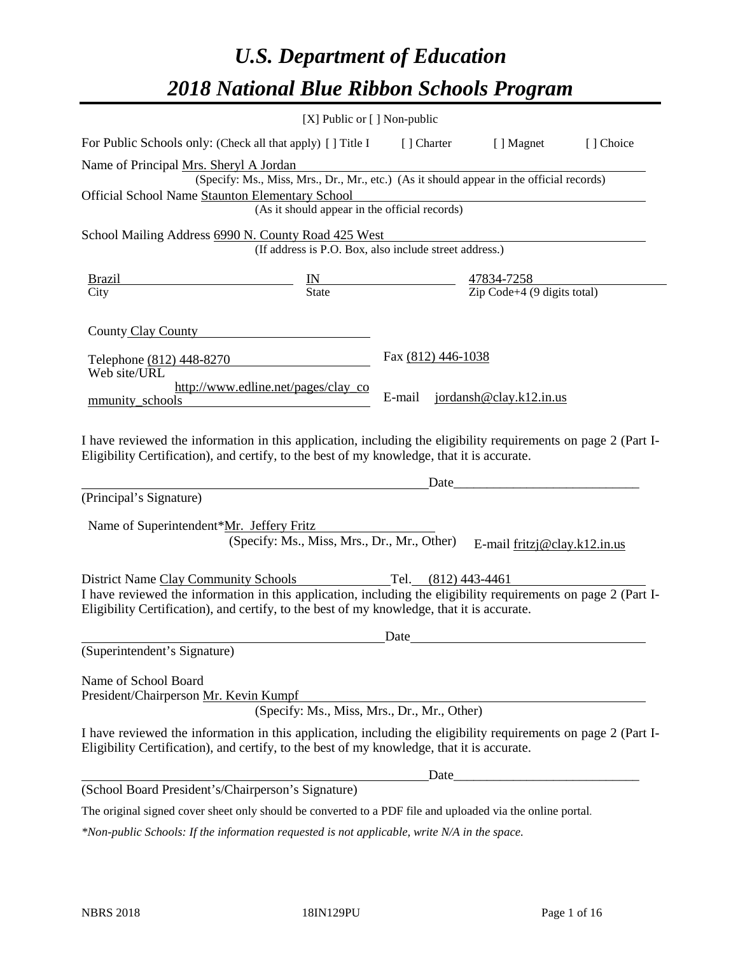# *U.S. Department of Education 2018 National Blue Ribbon Schools Program*

|                                                                                                                                                                                                                                                                          | [X] Public or [] Non-public                                                                                                               |                    |                                                   |           |
|--------------------------------------------------------------------------------------------------------------------------------------------------------------------------------------------------------------------------------------------------------------------------|-------------------------------------------------------------------------------------------------------------------------------------------|--------------------|---------------------------------------------------|-----------|
| For Public Schools only: (Check all that apply) [] Title I [] Charter [] Magnet                                                                                                                                                                                          |                                                                                                                                           |                    |                                                   | [] Choice |
| Name of Principal Mrs. Sheryl A Jordan<br>Official School Name Staunton Elementary School                                                                                                                                                                                | (Specify: Ms., Miss, Mrs., Dr., Mr., etc.) (As it should appear in the official records)<br>(As it should appear in the official records) |                    |                                                   |           |
| School Mailing Address 6990 N. County Road 425 West                                                                                                                                                                                                                      |                                                                                                                                           |                    |                                                   |           |
|                                                                                                                                                                                                                                                                          | (If address is P.O. Box, also include street address.)                                                                                    |                    |                                                   |           |
| <b>Brazil</b><br>City                                                                                                                                                                                                                                                    | $\frac{IN}{State}$ $\frac{47834-7258}{Zip Code+4 (9 digits total)}$                                                                       |                    |                                                   |           |
| County Clay County                                                                                                                                                                                                                                                       |                                                                                                                                           |                    |                                                   |           |
| Telephone (812) 448-8270<br>Web site/URL                                                                                                                                                                                                                                 |                                                                                                                                           | Fax (812) 446-1038 |                                                   |           |
| mmunity_schools                                                                                                                                                                                                                                                          | http://www.edline.net/pages/clay_co                                                                                                       | E-mail             | jordansh@clay.k12.in.us                           |           |
| I have reviewed the information in this application, including the eligibility requirements on page 2 (Part I-<br>Eligibility Certification), and certify, to the best of my knowledge, that it is accurate.<br>(Principal's Signature)                                  |                                                                                                                                           | Date               | <u> 1989 - Johann Barbara, martxa alemaniar a</u> |           |
| Name of Superintendent*Mr. Jeffery Fritz                                                                                                                                                                                                                                 | (Specify: Ms., Miss, Mrs., Dr., Mr., Other)                                                                                               |                    | E-mail $fritzj@clay.k12.in.us$                    |           |
| District Name Clay Community Schools Tel. (812) 443-4461<br>I have reviewed the information in this application, including the eligibility requirements on page 2 (Part I-<br>Eligibility Certification), and certify, to the best of my knowledge, that it is accurate. |                                                                                                                                           |                    |                                                   |           |
|                                                                                                                                                                                                                                                                          |                                                                                                                                           | Date               |                                                   |           |
| (Superintendent's Signature)                                                                                                                                                                                                                                             |                                                                                                                                           |                    |                                                   |           |
| Name of School Board<br>President/Chairperson Mr. Kevin Kumpf                                                                                                                                                                                                            | (Specify: Ms., Miss, Mrs., Dr., Mr., Other)                                                                                               |                    |                                                   |           |
| I have reviewed the information in this application, including the eligibility requirements on page 2 (Part I-<br>Eligibility Certification), and certify, to the best of my knowledge, that it is accurate.                                                             |                                                                                                                                           |                    |                                                   |           |
|                                                                                                                                                                                                                                                                          |                                                                                                                                           | Date_              |                                                   |           |
| (School Board President's/Chairperson's Signature)                                                                                                                                                                                                                       |                                                                                                                                           |                    |                                                   |           |
| The original signed cover sheet only should be converted to a PDF file and uploaded via the online portal.                                                                                                                                                               |                                                                                                                                           |                    |                                                   |           |

*\*Non-public Schools: If the information requested is not applicable, write N/A in the space.*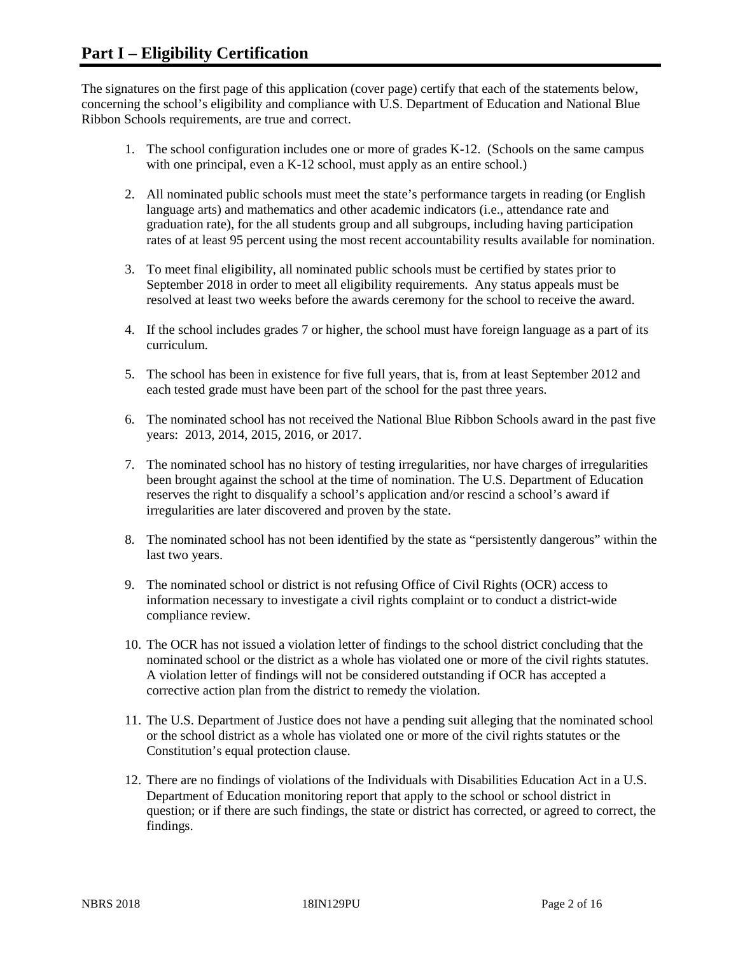The signatures on the first page of this application (cover page) certify that each of the statements below, concerning the school's eligibility and compliance with U.S. Department of Education and National Blue Ribbon Schools requirements, are true and correct.

- 1. The school configuration includes one or more of grades K-12. (Schools on the same campus with one principal, even a K-12 school, must apply as an entire school.)
- 2. All nominated public schools must meet the state's performance targets in reading (or English language arts) and mathematics and other academic indicators (i.e., attendance rate and graduation rate), for the all students group and all subgroups, including having participation rates of at least 95 percent using the most recent accountability results available for nomination.
- 3. To meet final eligibility, all nominated public schools must be certified by states prior to September 2018 in order to meet all eligibility requirements. Any status appeals must be resolved at least two weeks before the awards ceremony for the school to receive the award.
- 4. If the school includes grades 7 or higher, the school must have foreign language as a part of its curriculum.
- 5. The school has been in existence for five full years, that is, from at least September 2012 and each tested grade must have been part of the school for the past three years.
- 6. The nominated school has not received the National Blue Ribbon Schools award in the past five years: 2013, 2014, 2015, 2016, or 2017.
- 7. The nominated school has no history of testing irregularities, nor have charges of irregularities been brought against the school at the time of nomination. The U.S. Department of Education reserves the right to disqualify a school's application and/or rescind a school's award if irregularities are later discovered and proven by the state.
- 8. The nominated school has not been identified by the state as "persistently dangerous" within the last two years.
- 9. The nominated school or district is not refusing Office of Civil Rights (OCR) access to information necessary to investigate a civil rights complaint or to conduct a district-wide compliance review.
- 10. The OCR has not issued a violation letter of findings to the school district concluding that the nominated school or the district as a whole has violated one or more of the civil rights statutes. A violation letter of findings will not be considered outstanding if OCR has accepted a corrective action plan from the district to remedy the violation.
- 11. The U.S. Department of Justice does not have a pending suit alleging that the nominated school or the school district as a whole has violated one or more of the civil rights statutes or the Constitution's equal protection clause.
- 12. There are no findings of violations of the Individuals with Disabilities Education Act in a U.S. Department of Education monitoring report that apply to the school or school district in question; or if there are such findings, the state or district has corrected, or agreed to correct, the findings.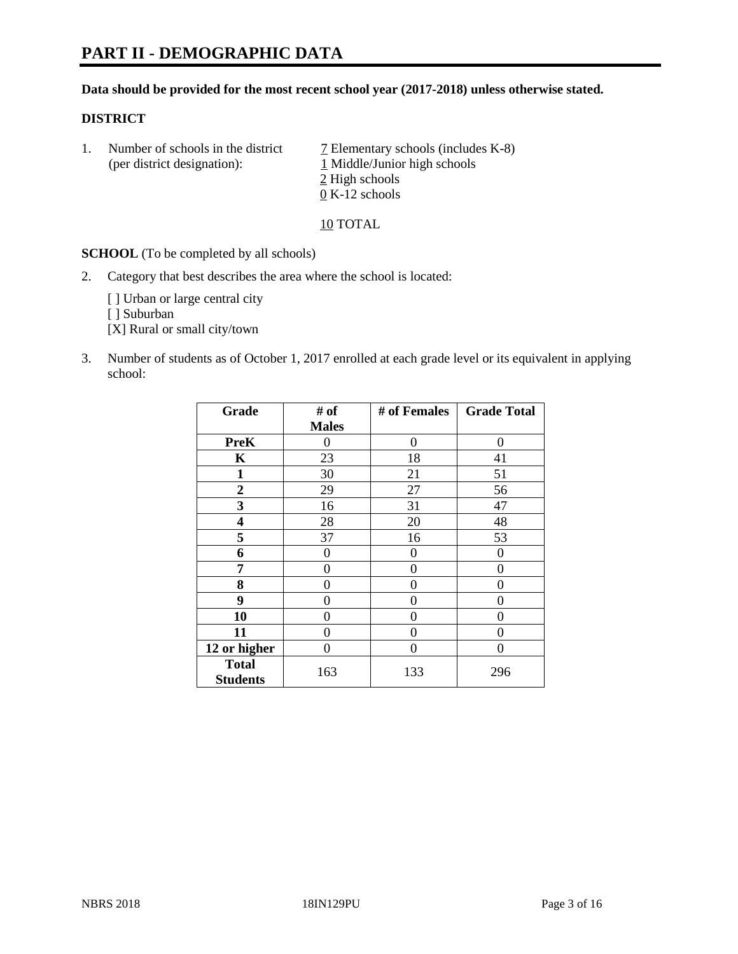#### **Data should be provided for the most recent school year (2017-2018) unless otherwise stated.**

#### **DISTRICT**

1. Number of schools in the district  $\overline{7}$  Elementary schools (includes K-8) (per district designation): 1 Middle/Junior high schools 2 High schools 0 K-12 schools

10 TOTAL

**SCHOOL** (To be completed by all schools)

2. Category that best describes the area where the school is located:

[] Urban or large central city

[ ] Suburban

[X] Rural or small city/town

3. Number of students as of October 1, 2017 enrolled at each grade level or its equivalent in applying school:

| Grade                           | # of         | # of Females | <b>Grade Total</b> |
|---------------------------------|--------------|--------------|--------------------|
|                                 | <b>Males</b> |              |                    |
| <b>PreK</b>                     | 0            | 0            | 0                  |
| K                               | 23           | 18           | 41                 |
| $\mathbf{1}$                    | 30           | 21           | 51                 |
| 2                               | 29           | 27           | 56                 |
| 3                               | 16           | 31           | 47                 |
| 4                               | 28           | 20           | 48                 |
| 5                               | 37           | 16           | 53                 |
| 6                               | 0            | 0            | $\Omega$           |
| 7                               | 0            | 0            | 0                  |
| 8                               | 0            | 0            | 0                  |
| 9                               | 0            | 0            | 0                  |
| 10                              | 0            | 0            | 0                  |
| 11                              | 0            | 0            | 0                  |
| 12 or higher                    | 0            | 0            | 0                  |
| <b>Total</b><br><b>Students</b> | 163          | 133          | 296                |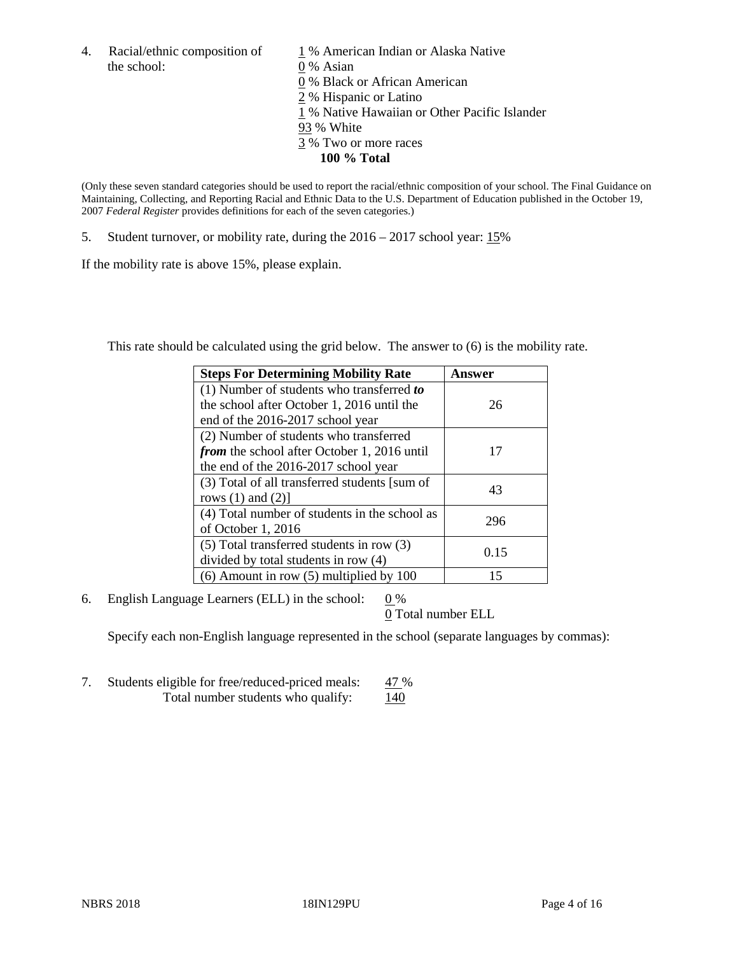4. Racial/ethnic composition of  $1\%$  American Indian or Alaska Native the school: 0 % Asian

 % Black or African American % Hispanic or Latino % Native Hawaiian or Other Pacific Islander 93 % White % Two or more races **100 % Total**

(Only these seven standard categories should be used to report the racial/ethnic composition of your school. The Final Guidance on Maintaining, Collecting, and Reporting Racial and Ethnic Data to the U.S. Department of Education published in the October 19, 2007 *Federal Register* provides definitions for each of the seven categories.)

5. Student turnover, or mobility rate, during the 2016 – 2017 school year: 15%

If the mobility rate is above 15%, please explain.

This rate should be calculated using the grid below. The answer to (6) is the mobility rate.

| <b>Steps For Determining Mobility Rate</b>         | Answer |
|----------------------------------------------------|--------|
| (1) Number of students who transferred to          |        |
| the school after October 1, 2016 until the         | 26     |
| end of the 2016-2017 school year                   |        |
| (2) Number of students who transferred             |        |
| <i>from</i> the school after October 1, 2016 until | 17     |
| the end of the 2016-2017 school year               |        |
| (3) Total of all transferred students [sum of      | 43     |
| rows $(1)$ and $(2)$ ]                             |        |
| (4) Total number of students in the school as      |        |
| of October 1, 2016                                 | 296    |
| (5) Total transferred students in row (3)          |        |
| divided by total students in row (4)               | 0.15   |
| $(6)$ Amount in row $(5)$ multiplied by 100        | 15     |

6. English Language Learners (ELL) in the school:  $0\%$ 

0 Total number ELL

Specify each non-English language represented in the school (separate languages by commas):

7. Students eligible for free/reduced-priced meals: 47 % Total number students who qualify:  $140$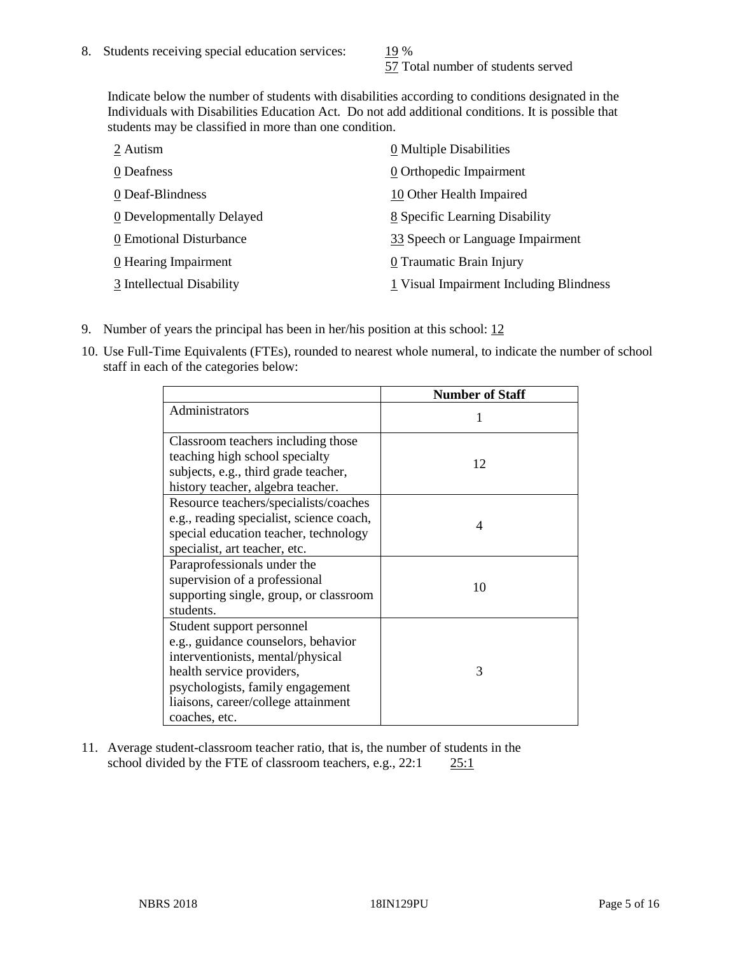57 Total number of students served

Indicate below the number of students with disabilities according to conditions designated in the Individuals with Disabilities Education Act. Do not add additional conditions. It is possible that students may be classified in more than one condition.

| 2 Autism                  | $\underline{0}$ Multiple Disabilities   |
|---------------------------|-----------------------------------------|
| 0 Deafness                | 0 Orthopedic Impairment                 |
| 0 Deaf-Blindness          | 10 Other Health Impaired                |
| 0 Developmentally Delayed | 8 Specific Learning Disability          |
| 0 Emotional Disturbance   | 33 Speech or Language Impairment        |
| 0 Hearing Impairment      | 0 Traumatic Brain Injury                |
| 3 Intellectual Disability | 1 Visual Impairment Including Blindness |

- 9. Number of years the principal has been in her/his position at this school:  $12$
- 10. Use Full-Time Equivalents (FTEs), rounded to nearest whole numeral, to indicate the number of school staff in each of the categories below:

|                                                                                                                                                                                                                                | <b>Number of Staff</b> |
|--------------------------------------------------------------------------------------------------------------------------------------------------------------------------------------------------------------------------------|------------------------|
| Administrators                                                                                                                                                                                                                 |                        |
| Classroom teachers including those<br>teaching high school specialty<br>subjects, e.g., third grade teacher,<br>history teacher, algebra teacher.                                                                              | 12                     |
| Resource teachers/specialists/coaches<br>e.g., reading specialist, science coach,<br>special education teacher, technology<br>specialist, art teacher, etc.                                                                    | 4                      |
| Paraprofessionals under the<br>supervision of a professional<br>supporting single, group, or classroom<br>students.                                                                                                            | 10                     |
| Student support personnel<br>e.g., guidance counselors, behavior<br>interventionists, mental/physical<br>health service providers,<br>psychologists, family engagement<br>liaisons, career/college attainment<br>coaches, etc. | 3                      |

11. Average student-classroom teacher ratio, that is, the number of students in the school divided by the FTE of classroom teachers, e.g., 22:1 25:1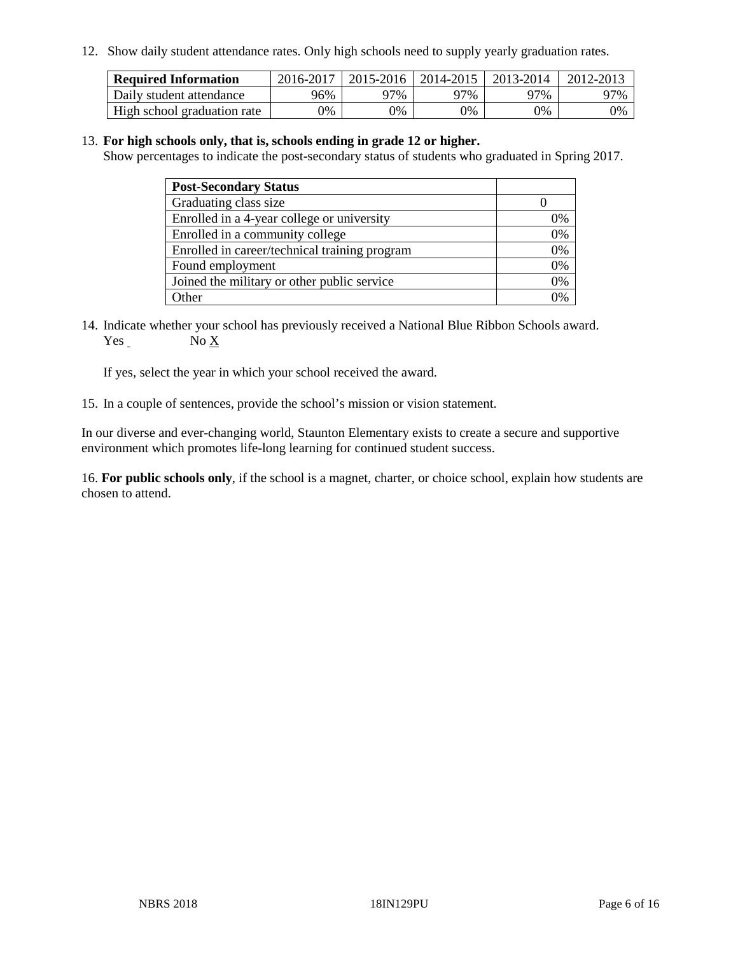12. Show daily student attendance rates. Only high schools need to supply yearly graduation rates.

| <b>Required Information</b> | 2016-2017 | $2015 - 2016$ | 2014-2015 | 2013-2014 | 2012-2013 |
|-----------------------------|-----------|---------------|-----------|-----------|-----------|
| Daily student attendance    | 96%       | 97%           | 97%       | ว7%       | 97%       |
| High school graduation rate | 0%        | 0%            | 0%        | 9%        | 0%        |

#### 13. **For high schools only, that is, schools ending in grade 12 or higher.**

Show percentages to indicate the post-secondary status of students who graduated in Spring 2017.

| <b>Post-Secondary Status</b>                  |    |
|-----------------------------------------------|----|
| Graduating class size                         |    |
| Enrolled in a 4-year college or university    | 0% |
| Enrolled in a community college               | 0% |
| Enrolled in career/technical training program | 0% |
| Found employment                              | 0% |
| Joined the military or other public service   | 0% |
| Other                                         | ገ% |

14. Indicate whether your school has previously received a National Blue Ribbon Schools award. Yes No X

If yes, select the year in which your school received the award.

15. In a couple of sentences, provide the school's mission or vision statement.

In our diverse and ever-changing world, Staunton Elementary exists to create a secure and supportive environment which promotes life-long learning for continued student success.

16. **For public schools only**, if the school is a magnet, charter, or choice school, explain how students are chosen to attend.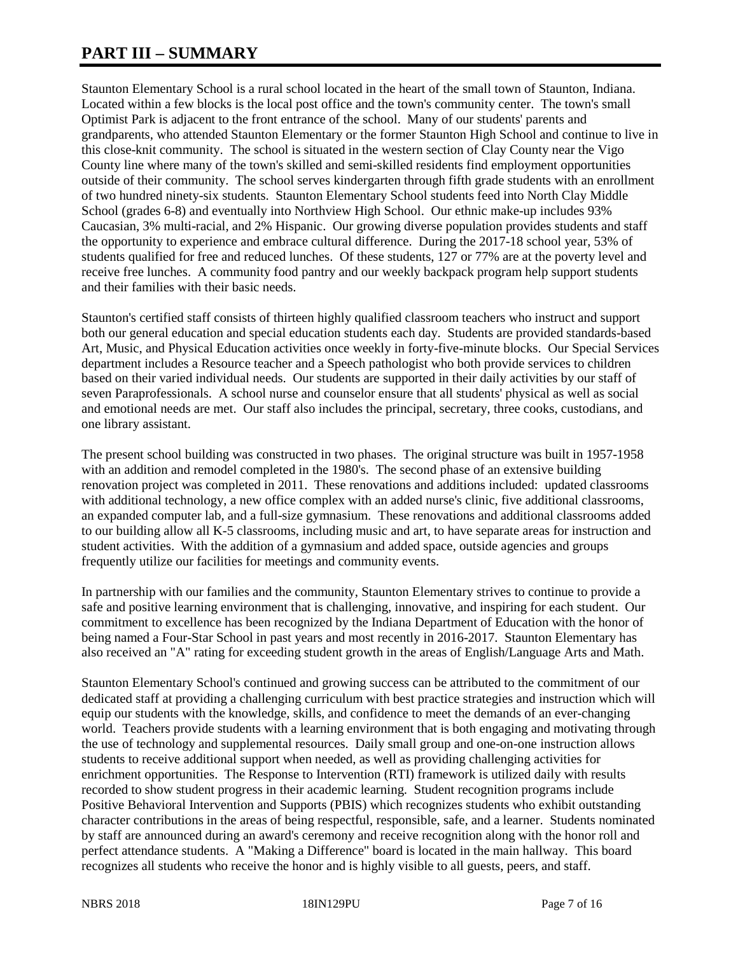# **PART III – SUMMARY**

Staunton Elementary School is a rural school located in the heart of the small town of Staunton, Indiana. Located within a few blocks is the local post office and the town's community center. The town's small Optimist Park is adjacent to the front entrance of the school. Many of our students' parents and grandparents, who attended Staunton Elementary or the former Staunton High School and continue to live in this close-knit community. The school is situated in the western section of Clay County near the Vigo County line where many of the town's skilled and semi-skilled residents find employment opportunities outside of their community. The school serves kindergarten through fifth grade students with an enrollment of two hundred ninety-six students. Staunton Elementary School students feed into North Clay Middle School (grades 6-8) and eventually into Northview High School. Our ethnic make-up includes 93% Caucasian, 3% multi-racial, and 2% Hispanic. Our growing diverse population provides students and staff the opportunity to experience and embrace cultural difference. During the 2017-18 school year, 53% of students qualified for free and reduced lunches. Of these students, 127 or 77% are at the poverty level and receive free lunches. A community food pantry and our weekly backpack program help support students and their families with their basic needs.

Staunton's certified staff consists of thirteen highly qualified classroom teachers who instruct and support both our general education and special education students each day. Students are provided standards-based Art, Music, and Physical Education activities once weekly in forty-five-minute blocks. Our Special Services department includes a Resource teacher and a Speech pathologist who both provide services to children based on their varied individual needs. Our students are supported in their daily activities by our staff of seven Paraprofessionals. A school nurse and counselor ensure that all students' physical as well as social and emotional needs are met. Our staff also includes the principal, secretary, three cooks, custodians, and one library assistant.

The present school building was constructed in two phases. The original structure was built in 1957-1958 with an addition and remodel completed in the 1980's. The second phase of an extensive building renovation project was completed in 2011. These renovations and additions included: updated classrooms with additional technology, a new office complex with an added nurse's clinic, five additional classrooms, an expanded computer lab, and a full-size gymnasium. These renovations and additional classrooms added to our building allow all K-5 classrooms, including music and art, to have separate areas for instruction and student activities. With the addition of a gymnasium and added space, outside agencies and groups frequently utilize our facilities for meetings and community events.

In partnership with our families and the community, Staunton Elementary strives to continue to provide a safe and positive learning environment that is challenging, innovative, and inspiring for each student. Our commitment to excellence has been recognized by the Indiana Department of Education with the honor of being named a Four-Star School in past years and most recently in 2016-2017. Staunton Elementary has also received an "A" rating for exceeding student growth in the areas of English/Language Arts and Math.

Staunton Elementary School's continued and growing success can be attributed to the commitment of our dedicated staff at providing a challenging curriculum with best practice strategies and instruction which will equip our students with the knowledge, skills, and confidence to meet the demands of an ever-changing world. Teachers provide students with a learning environment that is both engaging and motivating through the use of technology and supplemental resources. Daily small group and one-on-one instruction allows students to receive additional support when needed, as well as providing challenging activities for enrichment opportunities. The Response to Intervention (RTI) framework is utilized daily with results recorded to show student progress in their academic learning. Student recognition programs include Positive Behavioral Intervention and Supports (PBIS) which recognizes students who exhibit outstanding character contributions in the areas of being respectful, responsible, safe, and a learner. Students nominated by staff are announced during an award's ceremony and receive recognition along with the honor roll and perfect attendance students. A "Making a Difference" board is located in the main hallway. This board recognizes all students who receive the honor and is highly visible to all guests, peers, and staff.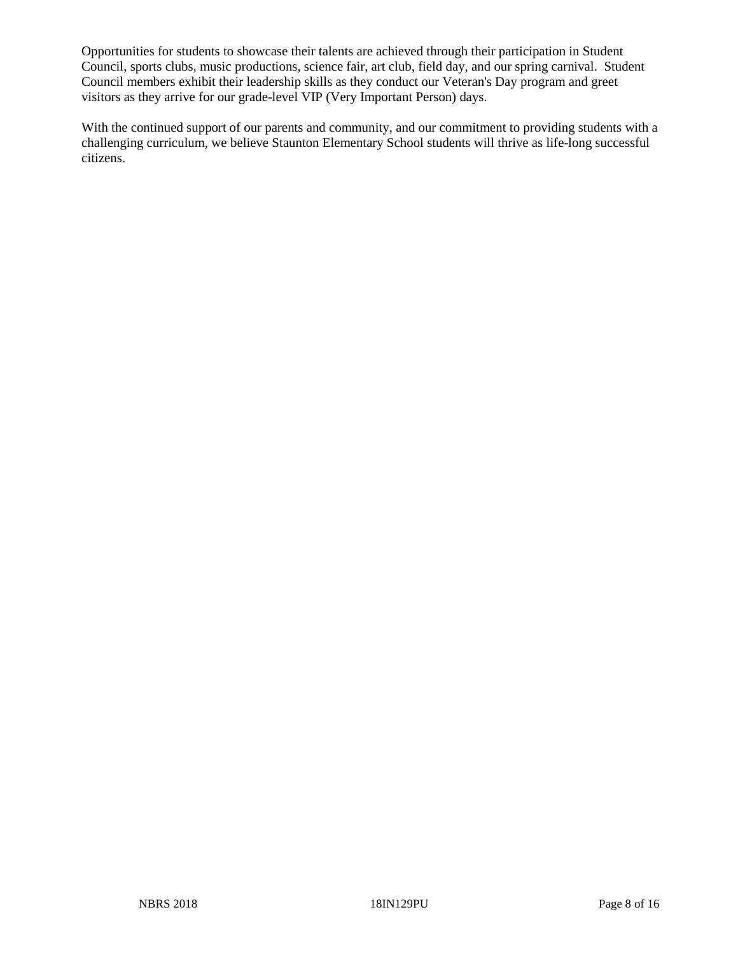Opportunities for students to showcase their talents are achieved through their participation in Student Council, sports clubs, music productions, science fair, art club, field day, and our spring carnival. Student Council members exhibit their leadership skills as they conduct our Veteran's Day program and greet visitors as they arrive for our grade-level VIP (Very Important Person) days.

With the continued support of our parents and community, and our commitment to providing students with a challenging curriculum, we believe Staunton Elementary School students will thrive as life-long successful citizens.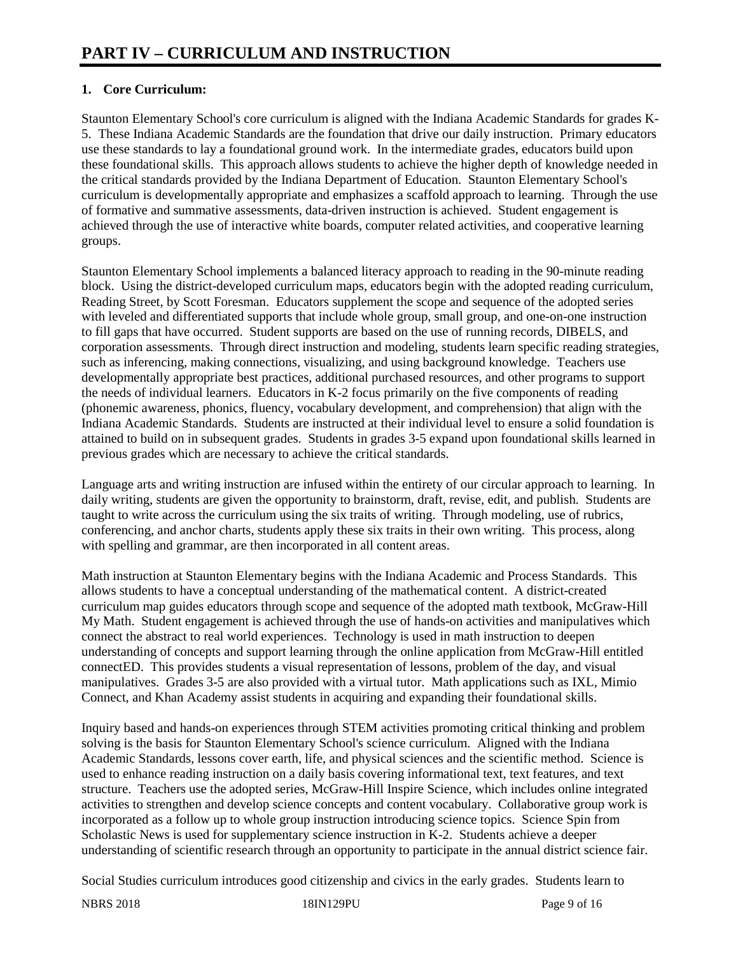# **1. Core Curriculum:**

Staunton Elementary School's core curriculum is aligned with the Indiana Academic Standards for grades K-5. These Indiana Academic Standards are the foundation that drive our daily instruction. Primary educators use these standards to lay a foundational ground work. In the intermediate grades, educators build upon these foundational skills. This approach allows students to achieve the higher depth of knowledge needed in the critical standards provided by the Indiana Department of Education. Staunton Elementary School's curriculum is developmentally appropriate and emphasizes a scaffold approach to learning. Through the use of formative and summative assessments, data-driven instruction is achieved. Student engagement is achieved through the use of interactive white boards, computer related activities, and cooperative learning groups.

Staunton Elementary School implements a balanced literacy approach to reading in the 90-minute reading block. Using the district-developed curriculum maps, educators begin with the adopted reading curriculum, Reading Street, by Scott Foresman. Educators supplement the scope and sequence of the adopted series with leveled and differentiated supports that include whole group, small group, and one-on-one instruction to fill gaps that have occurred. Student supports are based on the use of running records, DIBELS, and corporation assessments. Through direct instruction and modeling, students learn specific reading strategies, such as inferencing, making connections, visualizing, and using background knowledge. Teachers use developmentally appropriate best practices, additional purchased resources, and other programs to support the needs of individual learners. Educators in K-2 focus primarily on the five components of reading (phonemic awareness, phonics, fluency, vocabulary development, and comprehension) that align with the Indiana Academic Standards. Students are instructed at their individual level to ensure a solid foundation is attained to build on in subsequent grades. Students in grades 3-5 expand upon foundational skills learned in previous grades which are necessary to achieve the critical standards.

Language arts and writing instruction are infused within the entirety of our circular approach to learning. In daily writing, students are given the opportunity to brainstorm, draft, revise, edit, and publish. Students are taught to write across the curriculum using the six traits of writing. Through modeling, use of rubrics, conferencing, and anchor charts, students apply these six traits in their own writing. This process, along with spelling and grammar, are then incorporated in all content areas.

Math instruction at Staunton Elementary begins with the Indiana Academic and Process Standards. This allows students to have a conceptual understanding of the mathematical content. A district-created curriculum map guides educators through scope and sequence of the adopted math textbook, McGraw-Hill My Math. Student engagement is achieved through the use of hands-on activities and manipulatives which connect the abstract to real world experiences. Technology is used in math instruction to deepen understanding of concepts and support learning through the online application from McGraw-Hill entitled connectED. This provides students a visual representation of lessons, problem of the day, and visual manipulatives. Grades 3-5 are also provided with a virtual tutor. Math applications such as IXL, Mimio Connect, and Khan Academy assist students in acquiring and expanding their foundational skills.

Inquiry based and hands-on experiences through STEM activities promoting critical thinking and problem solving is the basis for Staunton Elementary School's science curriculum. Aligned with the Indiana Academic Standards, lessons cover earth, life, and physical sciences and the scientific method. Science is used to enhance reading instruction on a daily basis covering informational text, text features, and text structure. Teachers use the adopted series, McGraw-Hill Inspire Science, which includes online integrated activities to strengthen and develop science concepts and content vocabulary. Collaborative group work is incorporated as a follow up to whole group instruction introducing science topics. Science Spin from Scholastic News is used for supplementary science instruction in K-2. Students achieve a deeper understanding of scientific research through an opportunity to participate in the annual district science fair.

Social Studies curriculum introduces good citizenship and civics in the early grades. Students learn to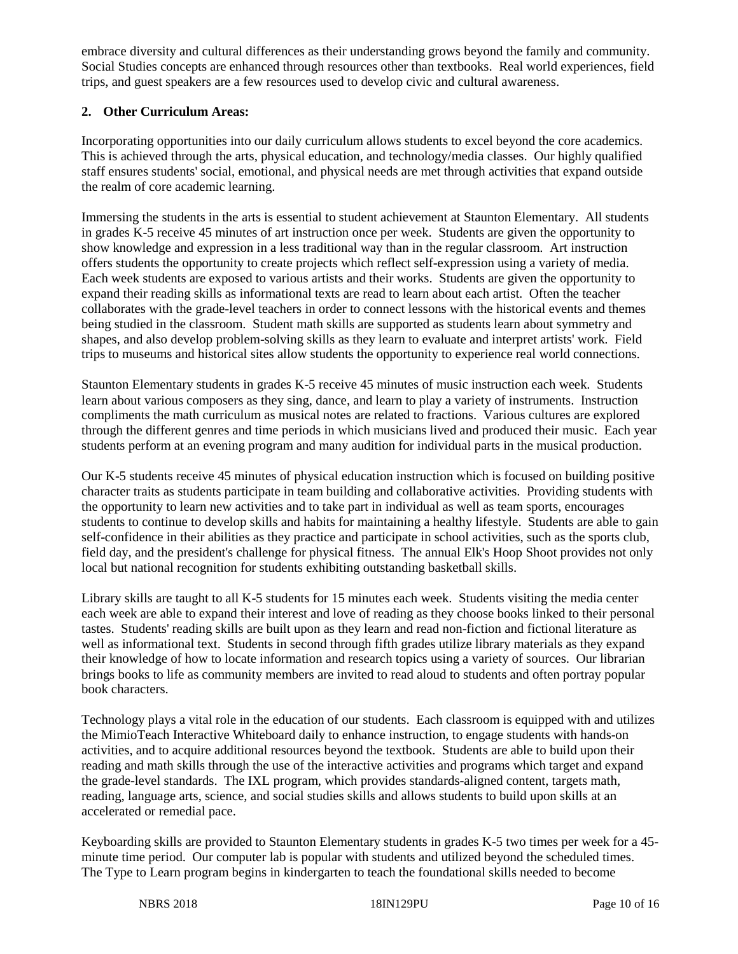embrace diversity and cultural differences as their understanding grows beyond the family and community. Social Studies concepts are enhanced through resources other than textbooks. Real world experiences, field trips, and guest speakers are a few resources used to develop civic and cultural awareness.

## **2. Other Curriculum Areas:**

Incorporating opportunities into our daily curriculum allows students to excel beyond the core academics. This is achieved through the arts, physical education, and technology/media classes. Our highly qualified staff ensures students' social, emotional, and physical needs are met through activities that expand outside the realm of core academic learning.

Immersing the students in the arts is essential to student achievement at Staunton Elementary. All students in grades K-5 receive 45 minutes of art instruction once per week. Students are given the opportunity to show knowledge and expression in a less traditional way than in the regular classroom. Art instruction offers students the opportunity to create projects which reflect self-expression using a variety of media. Each week students are exposed to various artists and their works. Students are given the opportunity to expand their reading skills as informational texts are read to learn about each artist. Often the teacher collaborates with the grade-level teachers in order to connect lessons with the historical events and themes being studied in the classroom. Student math skills are supported as students learn about symmetry and shapes, and also develop problem-solving skills as they learn to evaluate and interpret artists' work. Field trips to museums and historical sites allow students the opportunity to experience real world connections.

Staunton Elementary students in grades K-5 receive 45 minutes of music instruction each week. Students learn about various composers as they sing, dance, and learn to play a variety of instruments. Instruction compliments the math curriculum as musical notes are related to fractions. Various cultures are explored through the different genres and time periods in which musicians lived and produced their music. Each year students perform at an evening program and many audition for individual parts in the musical production.

Our K-5 students receive 45 minutes of physical education instruction which is focused on building positive character traits as students participate in team building and collaborative activities. Providing students with the opportunity to learn new activities and to take part in individual as well as team sports, encourages students to continue to develop skills and habits for maintaining a healthy lifestyle. Students are able to gain self-confidence in their abilities as they practice and participate in school activities, such as the sports club, field day, and the president's challenge for physical fitness. The annual Elk's Hoop Shoot provides not only local but national recognition for students exhibiting outstanding basketball skills.

Library skills are taught to all K-5 students for 15 minutes each week. Students visiting the media center each week are able to expand their interest and love of reading as they choose books linked to their personal tastes. Students' reading skills are built upon as they learn and read non-fiction and fictional literature as well as informational text. Students in second through fifth grades utilize library materials as they expand their knowledge of how to locate information and research topics using a variety of sources. Our librarian brings books to life as community members are invited to read aloud to students and often portray popular book characters.

Technology plays a vital role in the education of our students. Each classroom is equipped with and utilizes the MimioTeach Interactive Whiteboard daily to enhance instruction, to engage students with hands-on activities, and to acquire additional resources beyond the textbook. Students are able to build upon their reading and math skills through the use of the interactive activities and programs which target and expand the grade-level standards. The IXL program, which provides standards-aligned content, targets math, reading, language arts, science, and social studies skills and allows students to build upon skills at an accelerated or remedial pace.

Keyboarding skills are provided to Staunton Elementary students in grades K-5 two times per week for a 45 minute time period. Our computer lab is popular with students and utilized beyond the scheduled times. The Type to Learn program begins in kindergarten to teach the foundational skills needed to become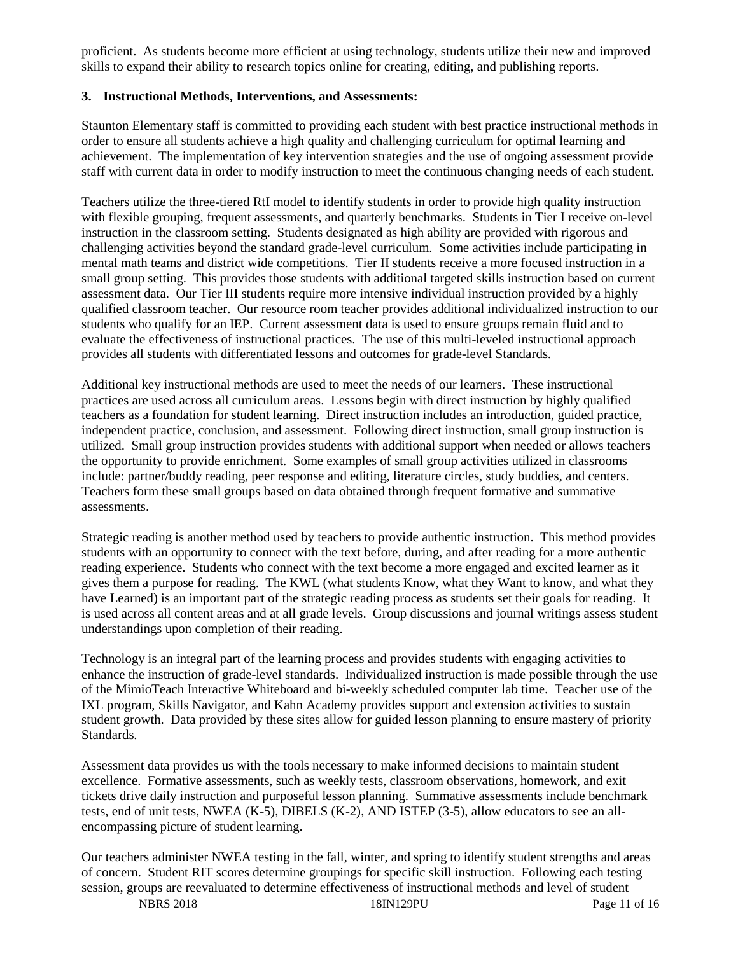proficient. As students become more efficient at using technology, students utilize their new and improved skills to expand their ability to research topics online for creating, editing, and publishing reports.

#### **3. Instructional Methods, Interventions, and Assessments:**

Staunton Elementary staff is committed to providing each student with best practice instructional methods in order to ensure all students achieve a high quality and challenging curriculum for optimal learning and achievement. The implementation of key intervention strategies and the use of ongoing assessment provide staff with current data in order to modify instruction to meet the continuous changing needs of each student.

Teachers utilize the three-tiered RtI model to identify students in order to provide high quality instruction with flexible grouping, frequent assessments, and quarterly benchmarks. Students in Tier I receive on-level instruction in the classroom setting. Students designated as high ability are provided with rigorous and challenging activities beyond the standard grade-level curriculum. Some activities include participating in mental math teams and district wide competitions. Tier II students receive a more focused instruction in a small group setting. This provides those students with additional targeted skills instruction based on current assessment data. Our Tier III students require more intensive individual instruction provided by a highly qualified classroom teacher. Our resource room teacher provides additional individualized instruction to our students who qualify for an IEP. Current assessment data is used to ensure groups remain fluid and to evaluate the effectiveness of instructional practices. The use of this multi-leveled instructional approach provides all students with differentiated lessons and outcomes for grade-level Standards.

Additional key instructional methods are used to meet the needs of our learners. These instructional practices are used across all curriculum areas. Lessons begin with direct instruction by highly qualified teachers as a foundation for student learning. Direct instruction includes an introduction, guided practice, independent practice, conclusion, and assessment. Following direct instruction, small group instruction is utilized. Small group instruction provides students with additional support when needed or allows teachers the opportunity to provide enrichment. Some examples of small group activities utilized in classrooms include: partner/buddy reading, peer response and editing, literature circles, study buddies, and centers. Teachers form these small groups based on data obtained through frequent formative and summative assessments.

Strategic reading is another method used by teachers to provide authentic instruction. This method provides students with an opportunity to connect with the text before, during, and after reading for a more authentic reading experience. Students who connect with the text become a more engaged and excited learner as it gives them a purpose for reading. The KWL (what students Know, what they Want to know, and what they have Learned) is an important part of the strategic reading process as students set their goals for reading. It is used across all content areas and at all grade levels. Group discussions and journal writings assess student understandings upon completion of their reading.

Technology is an integral part of the learning process and provides students with engaging activities to enhance the instruction of grade-level standards. Individualized instruction is made possible through the use of the MimioTeach Interactive Whiteboard and bi-weekly scheduled computer lab time. Teacher use of the IXL program, Skills Navigator, and Kahn Academy provides support and extension activities to sustain student growth. Data provided by these sites allow for guided lesson planning to ensure mastery of priority Standards.

Assessment data provides us with the tools necessary to make informed decisions to maintain student excellence. Formative assessments, such as weekly tests, classroom observations, homework, and exit tickets drive daily instruction and purposeful lesson planning. Summative assessments include benchmark tests, end of unit tests, NWEA (K-5), DIBELS (K-2), AND ISTEP (3-5), allow educators to see an allencompassing picture of student learning.

Our teachers administer NWEA testing in the fall, winter, and spring to identify student strengths and areas of concern. Student RIT scores determine groupings for specific skill instruction. Following each testing session, groups are reevaluated to determine effectiveness of instructional methods and level of student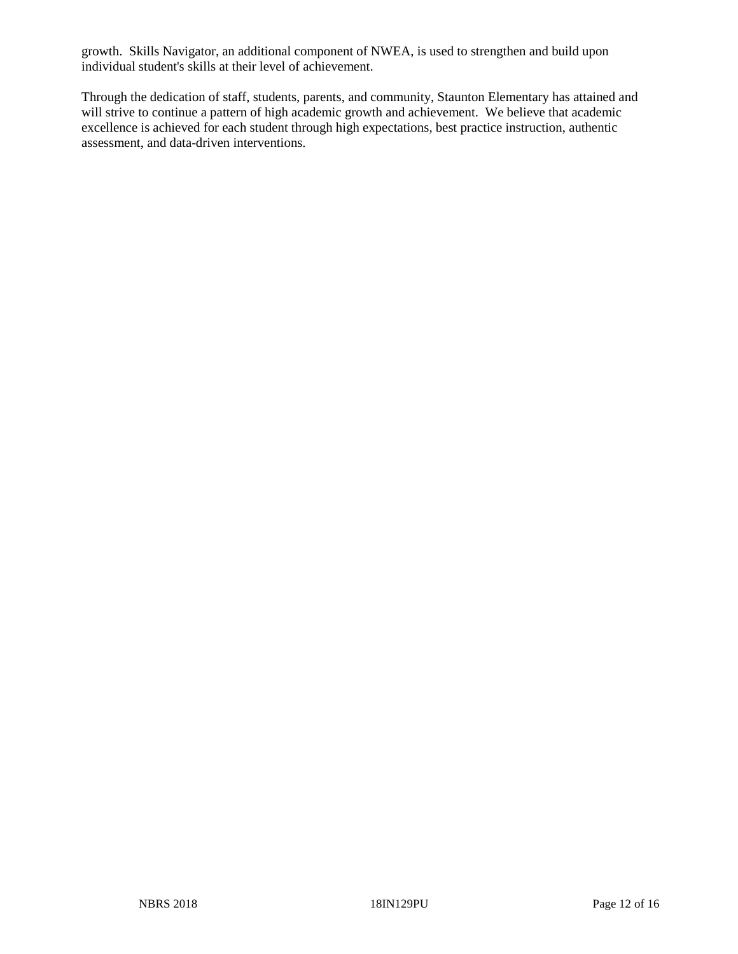growth. Skills Navigator, an additional component of NWEA, is used to strengthen and build upon individual student's skills at their level of achievement.

Through the dedication of staff, students, parents, and community, Staunton Elementary has attained and will strive to continue a pattern of high academic growth and achievement. We believe that academic excellence is achieved for each student through high expectations, best practice instruction, authentic assessment, and data-driven interventions.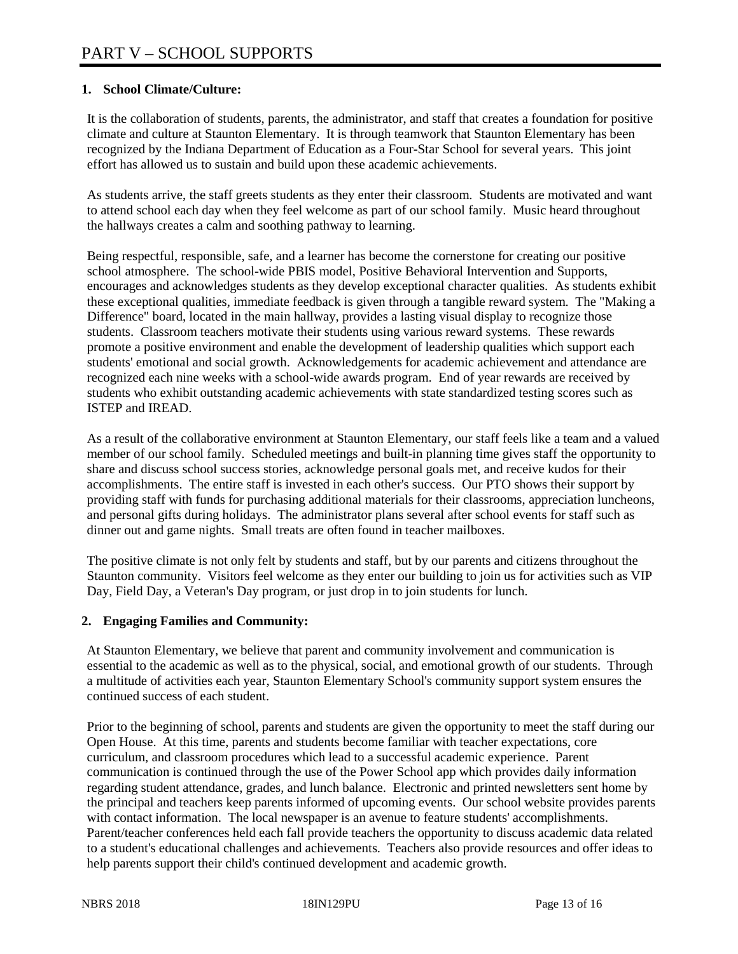## **1. School Climate/Culture:**

It is the collaboration of students, parents, the administrator, and staff that creates a foundation for positive climate and culture at Staunton Elementary. It is through teamwork that Staunton Elementary has been recognized by the Indiana Department of Education as a Four-Star School for several years. This joint effort has allowed us to sustain and build upon these academic achievements.

As students arrive, the staff greets students as they enter their classroom. Students are motivated and want to attend school each day when they feel welcome as part of our school family. Music heard throughout the hallways creates a calm and soothing pathway to learning.

Being respectful, responsible, safe, and a learner has become the cornerstone for creating our positive school atmosphere. The school-wide PBIS model, Positive Behavioral Intervention and Supports, encourages and acknowledges students as they develop exceptional character qualities. As students exhibit these exceptional qualities, immediate feedback is given through a tangible reward system. The "Making a Difference" board, located in the main hallway, provides a lasting visual display to recognize those students. Classroom teachers motivate their students using various reward systems. These rewards promote a positive environment and enable the development of leadership qualities which support each students' emotional and social growth. Acknowledgements for academic achievement and attendance are recognized each nine weeks with a school-wide awards program. End of year rewards are received by students who exhibit outstanding academic achievements with state standardized testing scores such as ISTEP and IREAD.

As a result of the collaborative environment at Staunton Elementary, our staff feels like a team and a valued member of our school family. Scheduled meetings and built-in planning time gives staff the opportunity to share and discuss school success stories, acknowledge personal goals met, and receive kudos for their accomplishments. The entire staff is invested in each other's success. Our PTO shows their support by providing staff with funds for purchasing additional materials for their classrooms, appreciation luncheons, and personal gifts during holidays. The administrator plans several after school events for staff such as dinner out and game nights. Small treats are often found in teacher mailboxes.

The positive climate is not only felt by students and staff, but by our parents and citizens throughout the Staunton community. Visitors feel welcome as they enter our building to join us for activities such as VIP Day, Field Day, a Veteran's Day program, or just drop in to join students for lunch.

## **2. Engaging Families and Community:**

At Staunton Elementary, we believe that parent and community involvement and communication is essential to the academic as well as to the physical, social, and emotional growth of our students. Through a multitude of activities each year, Staunton Elementary School's community support system ensures the continued success of each student.

Prior to the beginning of school, parents and students are given the opportunity to meet the staff during our Open House. At this time, parents and students become familiar with teacher expectations, core curriculum, and classroom procedures which lead to a successful academic experience. Parent communication is continued through the use of the Power School app which provides daily information regarding student attendance, grades, and lunch balance. Electronic and printed newsletters sent home by the principal and teachers keep parents informed of upcoming events. Our school website provides parents with contact information. The local newspaper is an avenue to feature students' accomplishments. Parent/teacher conferences held each fall provide teachers the opportunity to discuss academic data related to a student's educational challenges and achievements. Teachers also provide resources and offer ideas to help parents support their child's continued development and academic growth.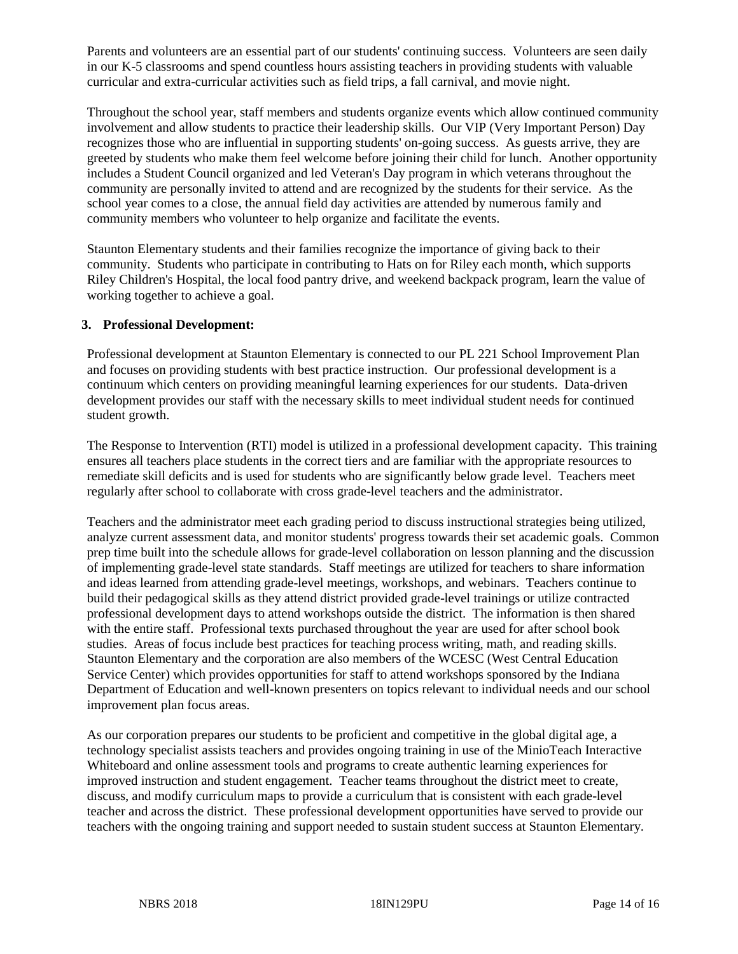Parents and volunteers are an essential part of our students' continuing success. Volunteers are seen daily in our K-5 classrooms and spend countless hours assisting teachers in providing students with valuable curricular and extra-curricular activities such as field trips, a fall carnival, and movie night.

Throughout the school year, staff members and students organize events which allow continued community involvement and allow students to practice their leadership skills. Our VIP (Very Important Person) Day recognizes those who are influential in supporting students' on-going success. As guests arrive, they are greeted by students who make them feel welcome before joining their child for lunch. Another opportunity includes a Student Council organized and led Veteran's Day program in which veterans throughout the community are personally invited to attend and are recognized by the students for their service. As the school year comes to a close, the annual field day activities are attended by numerous family and community members who volunteer to help organize and facilitate the events.

Staunton Elementary students and their families recognize the importance of giving back to their community. Students who participate in contributing to Hats on for Riley each month, which supports Riley Children's Hospital, the local food pantry drive, and weekend backpack program, learn the value of working together to achieve a goal.

#### **3. Professional Development:**

Professional development at Staunton Elementary is connected to our PL 221 School Improvement Plan and focuses on providing students with best practice instruction. Our professional development is a continuum which centers on providing meaningful learning experiences for our students. Data-driven development provides our staff with the necessary skills to meet individual student needs for continued student growth.

The Response to Intervention (RTI) model is utilized in a professional development capacity. This training ensures all teachers place students in the correct tiers and are familiar with the appropriate resources to remediate skill deficits and is used for students who are significantly below grade level. Teachers meet regularly after school to collaborate with cross grade-level teachers and the administrator.

Teachers and the administrator meet each grading period to discuss instructional strategies being utilized, analyze current assessment data, and monitor students' progress towards their set academic goals. Common prep time built into the schedule allows for grade-level collaboration on lesson planning and the discussion of implementing grade-level state standards. Staff meetings are utilized for teachers to share information and ideas learned from attending grade-level meetings, workshops, and webinars. Teachers continue to build their pedagogical skills as they attend district provided grade-level trainings or utilize contracted professional development days to attend workshops outside the district. The information is then shared with the entire staff. Professional texts purchased throughout the year are used for after school book studies. Areas of focus include best practices for teaching process writing, math, and reading skills. Staunton Elementary and the corporation are also members of the WCESC (West Central Education Service Center) which provides opportunities for staff to attend workshops sponsored by the Indiana Department of Education and well-known presenters on topics relevant to individual needs and our school improvement plan focus areas.

As our corporation prepares our students to be proficient and competitive in the global digital age, a technology specialist assists teachers and provides ongoing training in use of the MinioTeach Interactive Whiteboard and online assessment tools and programs to create authentic learning experiences for improved instruction and student engagement. Teacher teams throughout the district meet to create, discuss, and modify curriculum maps to provide a curriculum that is consistent with each grade-level teacher and across the district. These professional development opportunities have served to provide our teachers with the ongoing training and support needed to sustain student success at Staunton Elementary.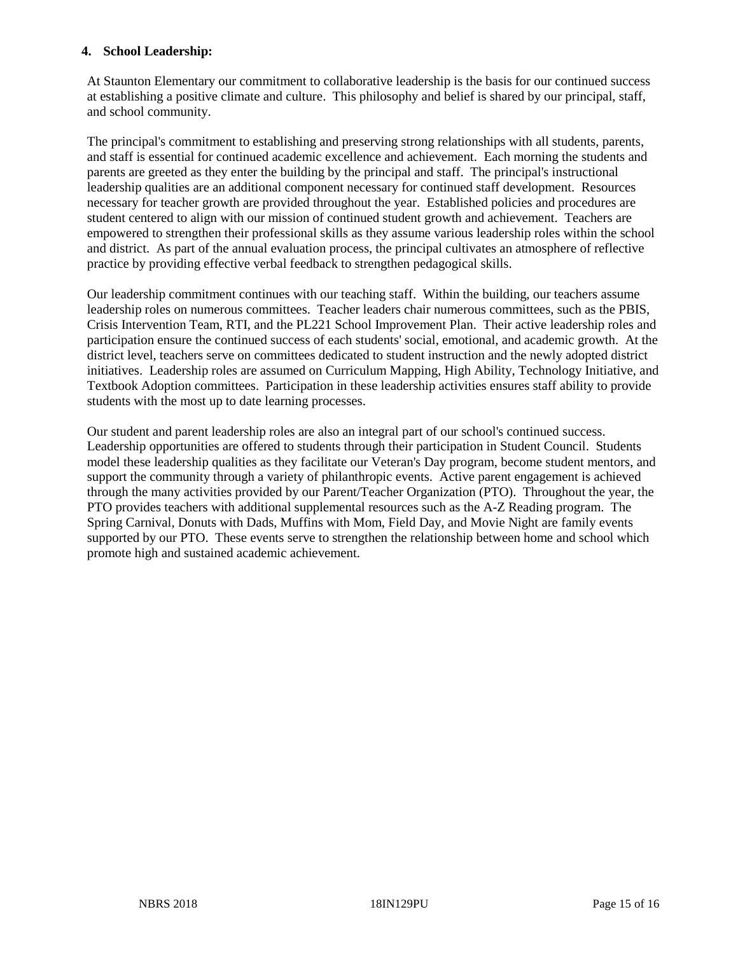#### **4. School Leadership:**

At Staunton Elementary our commitment to collaborative leadership is the basis for our continued success at establishing a positive climate and culture. This philosophy and belief is shared by our principal, staff, and school community.

The principal's commitment to establishing and preserving strong relationships with all students, parents, and staff is essential for continued academic excellence and achievement. Each morning the students and parents are greeted as they enter the building by the principal and staff. The principal's instructional leadership qualities are an additional component necessary for continued staff development. Resources necessary for teacher growth are provided throughout the year. Established policies and procedures are student centered to align with our mission of continued student growth and achievement. Teachers are empowered to strengthen their professional skills as they assume various leadership roles within the school and district. As part of the annual evaluation process, the principal cultivates an atmosphere of reflective practice by providing effective verbal feedback to strengthen pedagogical skills.

Our leadership commitment continues with our teaching staff. Within the building, our teachers assume leadership roles on numerous committees. Teacher leaders chair numerous committees, such as the PBIS, Crisis Intervention Team, RTI, and the PL221 School Improvement Plan. Their active leadership roles and participation ensure the continued success of each students' social, emotional, and academic growth. At the district level, teachers serve on committees dedicated to student instruction and the newly adopted district initiatives. Leadership roles are assumed on Curriculum Mapping, High Ability, Technology Initiative, and Textbook Adoption committees. Participation in these leadership activities ensures staff ability to provide students with the most up to date learning processes.

Our student and parent leadership roles are also an integral part of our school's continued success. Leadership opportunities are offered to students through their participation in Student Council. Students model these leadership qualities as they facilitate our Veteran's Day program, become student mentors, and support the community through a variety of philanthropic events. Active parent engagement is achieved through the many activities provided by our Parent/Teacher Organization (PTO). Throughout the year, the PTO provides teachers with additional supplemental resources such as the A-Z Reading program. The Spring Carnival, Donuts with Dads, Muffins with Mom, Field Day, and Movie Night are family events supported by our PTO. These events serve to strengthen the relationship between home and school which promote high and sustained academic achievement.